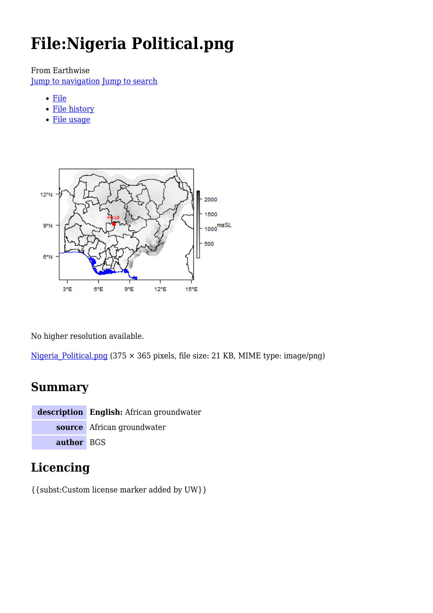# **File:Nigeria Political.png**

From Earthwise

[Jump to navigation](#page--1-0) [Jump to search](#page--1-0)

- [File](#page--1-0)
- [File history](#page--1-0)
- [File usage](#page--1-0)



No higher resolution available.

Nigeria Political.png (375  $\times$  365 pixels, file size: 21 KB, MIME type: image/png)

### **Summary**

**description English:** African groundwater **source** African groundwater **author** BGS

# **Licencing**

{{subst:Custom license marker added by UW}}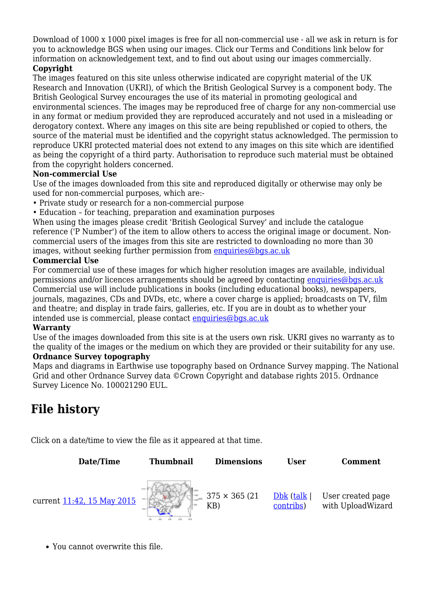Download of 1000 x 1000 pixel images is free for all non-commercial use - all we ask in return is for you to acknowledge BGS when using our images. Click our Terms and Conditions link below for information on acknowledgement text, and to find out about using our images commercially.

#### **Copyright**

The images featured on this site unless otherwise indicated are copyright material of the UK Research and Innovation (UKRI), of which the British Geological Survey is a component body. The British Geological Survey encourages the use of its material in promoting geological and environmental sciences. The images may be reproduced free of charge for any non-commercial use in any format or medium provided they are reproduced accurately and not used in a misleading or derogatory context. Where any images on this site are being republished or copied to others, the source of the material must be identified and the copyright status acknowledged. The permission to reproduce UKRI protected material does not extend to any images on this site which are identified as being the copyright of a third party. Authorisation to reproduce such material must be obtained from the copyright holders concerned.

#### **Non-commercial Use**

Use of the images downloaded from this site and reproduced digitally or otherwise may only be used for non-commercial purposes, which are:-

- Private study or research for a non-commercial purpose
- Education for teaching, preparation and examination purposes

When using the images please credit 'British Geological Survey' and include the catalogue reference ('P Number') of the item to allow others to access the original image or document. Noncommercial users of the images from this site are restricted to downloading no more than 30 images, without seeking further permission from [enquiries@bgs.ac.uk](mailto:enquiries@bgs.ac.uk)

#### **Commercial Use**

For commercial use of these images for which higher resolution images are available, individual permissions and/or licences arrangements should be agreed by contacting [enquiries@bgs.ac.uk](mailto:enquiries@bgs.ac.uk) Commercial use will include publications in books (including educational books), newspapers, journals, magazines, CDs and DVDs, etc, where a cover charge is applied; broadcasts on TV, film and theatre; and display in trade fairs, galleries, etc. If you are in doubt as to whether your intended use is commercial, please contact [enquiries@bgs.ac.uk](mailto:enquiries@bgs.ac.uk)

#### **Warranty**

Use of the images downloaded from this site is at the users own risk. UKRI gives no warranty as to the quality of the images or the medium on which they are provided or their suitability for any use. **Ordnance Survey topography**

Maps and diagrams in Earthwise use topography based on Ordnance Survey mapping. The National Grid and other Ordnance Survey data ©Crown Copyright and database rights 2015. Ordnance Survey Licence No. 100021290 EUL.

## **File history**

Click on a date/time to view the file as it appeared at that time.



You cannot overwrite this file.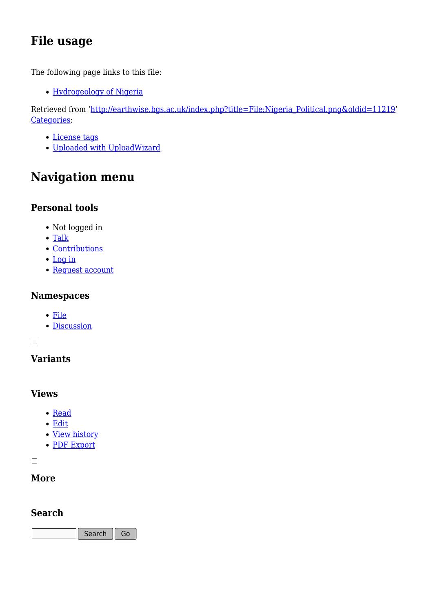# **File usage**

The following page links to this file:

[Hydrogeology of Nigeria](http://earthwise.bgs.ac.uk/index.php/Hydrogeology_of_Nigeria)

Retrieved from ['http://earthwise.bgs.ac.uk/index.php?title=File:Nigeria\\_Political.png&oldid=11219'](http://earthwise.bgs.ac.uk/index.php?title=File:Nigeria_Political.png&oldid=11219) [Categories:](http://earthwise.bgs.ac.uk/index.php/Special:Categories)

- [License tags](http://earthwise.bgs.ac.uk/index.php/Category:License_tags)
- [Uploaded with UploadWizard](http://earthwise.bgs.ac.uk/index.php/Category:Uploaded_with_UploadWizard)

# **Navigation menu**

### **Personal tools**

- Not logged in
- [Talk](http://earthwise.bgs.ac.uk/index.php/Special:MyTalk)
- [Contributions](http://earthwise.bgs.ac.uk/index.php/Special:MyContributions)
- [Log in](http://earthwise.bgs.ac.uk/index.php?title=Special:UserLogin&returnto=File%3ANigeria+Political.png&returntoquery=action%3Dmpdf)
- [Request account](http://earthwise.bgs.ac.uk/index.php/Special:RequestAccount)

### **Namespaces**

- [File](http://earthwise.bgs.ac.uk/index.php/File:Nigeria_Political.png)
- [Discussion](http://earthwise.bgs.ac.uk/index.php?title=File_talk:Nigeria_Political.png&action=edit&redlink=1)

 $\Box$ 

### **Variants**

### **Views**

- [Read](http://earthwise.bgs.ac.uk/index.php/File:Nigeria_Political.png)
- [Edit](http://earthwise.bgs.ac.uk/index.php?title=File:Nigeria_Political.png&action=edit)
- [View history](http://earthwise.bgs.ac.uk/index.php?title=File:Nigeria_Political.png&action=history)
- [PDF Export](http://earthwise.bgs.ac.uk/index.php?title=File:Nigeria_Political.png&action=mpdf)

 $\overline{\phantom{a}}$ 

### **More**

### **Search**

Search  $\Big|$  Go